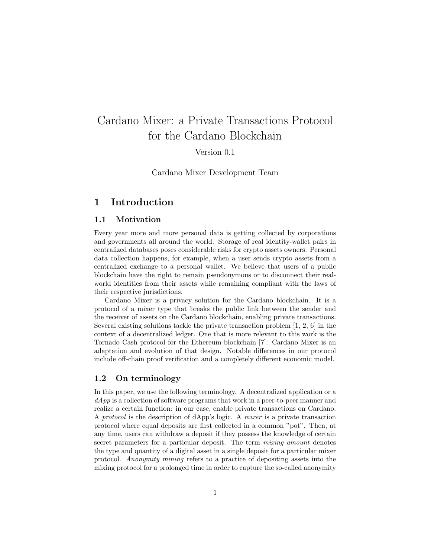# Cardano Mixer: a Private Transactions Protocol for the Cardano Blockchain

Version 0.1

Cardano Mixer Development Team

# 1 Introduction

### 1.1 Motivation

Every year more and more personal data is getting collected by corporations and governments all around the world. Storage of real identity-wallet pairs in centralized databases poses considerable risks for crypto assets owners. Personal data collection happens, for example, when a user sends crypto assets from a centralized exchange to a personal wallet. We believe that users of a public blockchain have the right to remain pseudonymous or to disconnect their realworld identities from their assets while remaining compliant with the laws of their respective jurisdictions.

Cardano Mixer is a privacy solution for the Cardano blockchain. It is a protocol of a mixer type that breaks the public link between the sender and the receiver of assets on the Cardano blockchain, enabling private transactions. Several existing solutions tackle the private transaction problem [1, 2, 6] in the context of a decentralized ledger. One that is more relevant to this work is the Tornado Cash protocol for the Ethereum blockchain [7]. Cardano Mixer is an adaptation and evolution of that design. Notable differences in our protocol include off-chain proof verification and a completely different economic model.

#### 1.2 On terminology

In this paper, we use the following terminology. A decentralized application or a  $dApp$  is a collection of software programs that work in a peer-to-peer manner and realize a certain function: in our case, enable private transactions on Cardano. A protocol is the description of dApp's logic. A mixer is a private transaction protocol where equal deposits are first collected in a common "pot". Then, at any time, users can withdraw a deposit if they possess the knowledge of certain secret parameters for a particular deposit. The term *mixing amount* denotes the type and quantity of a digital asset in a single deposit for a particular mixer protocol. Anonymity mining refers to a practice of depositing assets into the mixing protocol for a prolonged time in order to capture the so-called anonymity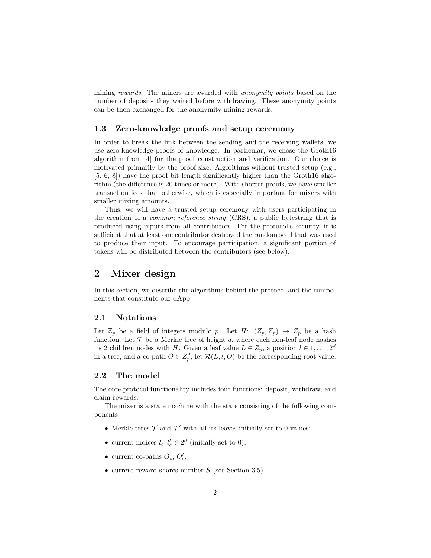mining rewards. The miners are awarded with *anonymity points* based on the number of deposits they waited before withdrawing. These anonymity points can be then exchanged for the anonymity mining rewards.

#### 1.3 Zero-knowledge proofs and setup ceremony

In order to break the link between the sending and the receiving wallets, we use zero-knowledge proofs of knowledge. In particular, we chose the Groth16 algorithm from [4] for the proof construction and verification. Our choice is motivated primarily by the proof size. Algorithms without trusted setup (e.g., [5, 6, 8]) have the proof bit length significantly higher than the Groth16 algorithm (the difference is 20 times or more). With shorter proofs, we have smaller transaction fees than otherwise, which is especially important for mixers with smaller mixing amounts.

Thus, we will have a trusted setup ceremony with users participating in the creation of a common reference string (CRS), a public bytestring that is produced using inputs from all contributors. For the protocol's security, it is sufficient that at least one contributor destroyed the random seed that was used to produce their input. To encourage participation, a significant portion of tokens will be distributed between the contributors (see below).

## 2 Mixer design

In this section, we describe the algorithms behind the protocol and the components that constitute our dApp.

#### 2.1 Notations

Let  $\mathbb{Z}_p$  be a field of integers modulo p. Let H:  $(Z_p, Z_p) \rightarrow Z_p$  be a hash function. Let  $\mathcal T$  be a Merkle tree of height d, where each non-leaf node hashes its 2 children nodes with H. Given a leaf value  $L \in Z_p$ , a position  $l \in 1, \ldots, 2^d$ in a tree, and a co-path  $O \in \mathbb{Z}_p^d$ , let  $\mathcal{R}(L, l, O)$  be the corresponding root value.

## 2.2 The model

The core protocol functionality includes four functions: deposit, withdraw, and claim rewards.

The mixer is a state machine with the state consisting of the following components:

- Merkle trees  $\mathcal T$  and  $\mathcal T'$  with all its leaves initially set to 0 values;
- current indices  $l_c, l'_c \in 2^d$  (initially set to 0);
- current co-paths  $O_c$ ,  $O'_c$ ;
- current reward shares number  $S$  (see Section 3.5).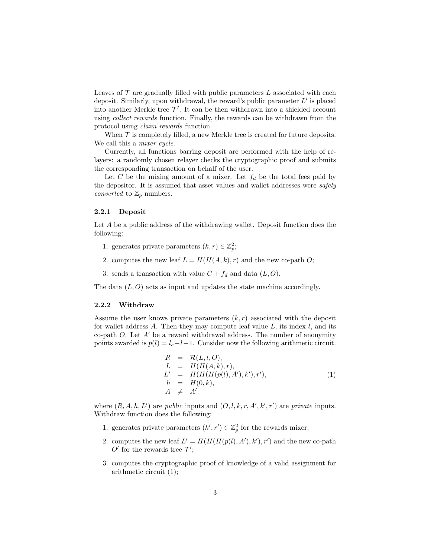Leaves of  $\mathcal T$  are gradually filled with public parameters  $L$  associated with each deposit. Similarly, upon withdrawal, the reward's public parameter  $L'$  is placed into another Merkle tree  $\mathcal{T}'$ . It can be then withdrawn into a shielded account using collect rewards function. Finally, the rewards can be withdrawn from the protocol using claim rewards function.

When  $\mathcal T$  is completely filled, a new Merkle tree is created for future deposits. We call this a *mixer cycle*.

Currently, all functions barring deposit are performed with the help of relayers: a randomly chosen relayer checks the cryptographic proof and submits the corresponding transaction on behalf of the user.

Let C be the mixing amount of a mixer. Let  $f_d$  be the total fees paid by the depositor. It is assumed that asset values and wallet addresses were *safely converted* to  $\mathbb{Z}_p$  numbers.

#### 2.2.1 Deposit

Let A be a public address of the withdrawing wallet. Deposit function does the following:

- 1. generates private parameters  $(k, r) \in \mathbb{Z}_p^2$ ;
- 2. computes the new leaf  $L = H(H(A, k), r)$  and the new co-path O;
- 3. sends a transaction with value  $C + f_d$  and data  $(L, O)$ .

The data  $(L, O)$  acts as input and updates the state machine accordingly.

#### 2.2.2 Withdraw

Assume the user knows private parameters  $(k, r)$  associated with the deposit for wallet address A. Then they may compute leaf value  $L$ , its index  $l$ , and its co-path  $O$ . Let  $A'$  be a reward withdrawal address. The number of anonymity points awarded is  $p(l) = l_c - l - 1$ . Consider now the following arithmetic circuit.

$$
R = \mathcal{R}(L, l, O),
$$
  
\n
$$
L = H(H(A, k), r),
$$
  
\n
$$
L' = H(H(H(p(l), A'), k'), r'),
$$
  
\n
$$
h = H(0, k),
$$
  
\n
$$
A \neq A'.
$$
\n(1)

where  $(R, A, h, L')$  are *public* inputs and  $(O, l, k, r, A', k', r')$  are *private* inputs. Withdraw function does the following:

- 1. generates private parameters  $(k', r') \in \mathbb{Z}_p^2$  for the rewards mixer;
- 2. computes the new leaf  $L' = H(H(H(p(l), A'), k'), r')$  and the new co-path  $O'$  for the rewards tree  $\mathcal{T}'$ ;
- 3. computes the cryptographic proof of knowledge of a valid assignment for arithmetic circuit (1);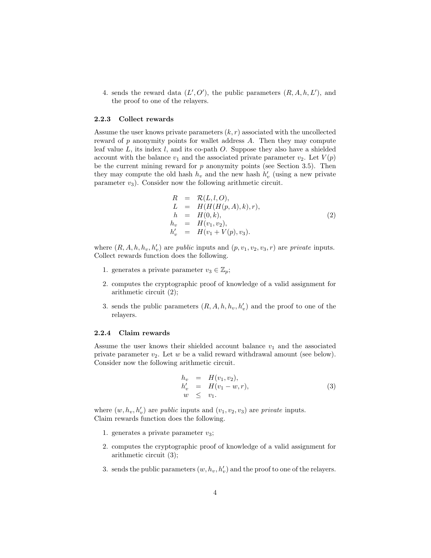4. sends the reward data  $(L', O')$ , the public parameters  $(R, A, h, L')$ , and the proof to one of the relayers.

#### 2.2.3 Collect rewards

Assume the user knows private parameters  $(k, r)$  associated with the uncollected reward of  $p$  anonymity points for wallet address  $A$ . Then they may compute leaf value  $L$ , its index  $l$ , and its co-path  $O$ . Suppose they also have a shielded account with the balance  $v_1$  and the associated private parameter  $v_2$ . Let  $V(p)$ be the current mining reward for  $p$  anonymity points (see Section 3.5). Then they may compute the old hash  $h_v$  and the new hash  $h'_v$  (using a new private parameter  $v_3$ ). Consider now the following arithmetic circuit.

$$
R = \mathcal{R}(L, l, O), \nL = H(H(H(p, A), k), r), \n h = H(0, k), \n h_v = H(v_1, v_2), \n h'_v = H(v_1 + V(p), v_3).
$$
\n(2)

where  $(R, A, h, h_v, h'_v)$  are *public* inputs and  $(p, v_1, v_2, v_3, r)$  are *private* inputs. Collect rewards function does the following.

- 1. generates a private parameter  $v_3 \in \mathbb{Z}_p$ ;
- 2. computes the cryptographic proof of knowledge of a valid assignment for arithmetic circuit (2);
- 3. sends the public parameters  $(R, A, h, h_v, h'_v)$  and the proof to one of the relayers.

#### 2.2.4 Claim rewards

Assume the user knows their shielded account balance  $v_1$  and the associated private parameter  $v_2$ . Let w be a valid reward withdrawal amount (see below). Consider now the following arithmetic circuit.

$$
h_v = H(v_1, v_2), \n h'_v = H(v_1 - w, r), \n w \le v_1.
$$
\n(3)

where  $(w, h_v, h'_v)$  are *public* inputs and  $(v_1, v_2, v_3)$  are *private* inputs. Claim rewards function does the following.

- 1. generates a private parameter  $v_3$ ;
- 2. computes the cryptographic proof of knowledge of a valid assignment for arithmetic circuit (3);
- 3. sends the public parameters  $(w, h_v, h'_v)$  and the proof to one of the relayers.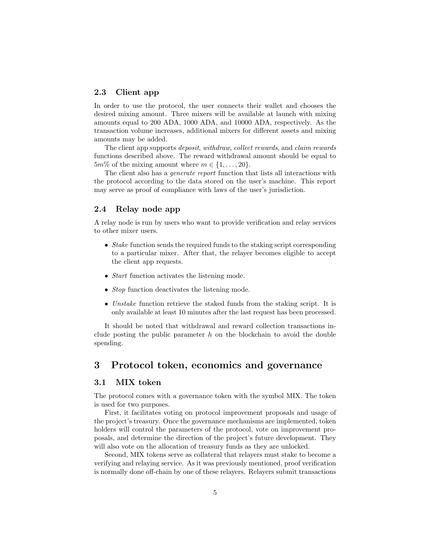## 2.3 Client app

In order to use the protocol, the user connects their wallet and chooses the desired mixing amount. Three mixers will be available at launch with mixing amounts equal to 200 ADA, 1000 ADA, and 10000 ADA, respectively. As the transaction volume increases, additional mixers for different assets and mixing amounts may be added.

The client app supports deposit, withdraw, collect rewards, and claim rewards functions described above. The reward withdrawal amount should be equal to  $5m\%$  of the mixing amount where  $m \in \{1, \ldots, 20\}.$ 

The client also has a *generate report* function that lists all interactions with the protocol according to the data stored on the user's machine. This report may serve as proof of compliance with laws of the user's jurisdiction.

## 2.4 Relay node app

A relay node is run by users who want to provide verification and relay services to other mixer users.

- Stake function sends the required funds to the staking script corresponding to a particular mixer. After that, the relayer becomes eligible to accept the client app requests.
- *Start* function activates the listening mode.
- *Stop* function deactivates the listening mode.
- Unstake function retrieve the staked funds from the staking script. It is only available at least 10 minutes after the last request has been processed.

It should be noted that withdrawal and reward collection transactions include posting the public parameter  $h$  on the blockchain to avoid the double spending.

# 3 Protocol token, economics and governance

### 3.1 MIX token

The protocol comes with a governance token with the symbol MIX. The token is used for two purposes.

First, it facilitates voting on protocol improvement proposals and usage of the project's treasury. Once the governance mechanisms are implemented, token holders will control the parameters of the protocol, vote on improvement proposals, and determine the direction of the project's future development. They will also vote on the allocation of treasury funds as they are unlocked.

Second, MIX tokens serve as collateral that relayers must stake to become a verifying and relaying service. As it was previously mentioned, proof verification is normally done off-chain by one of these relayers. Relayers submit transactions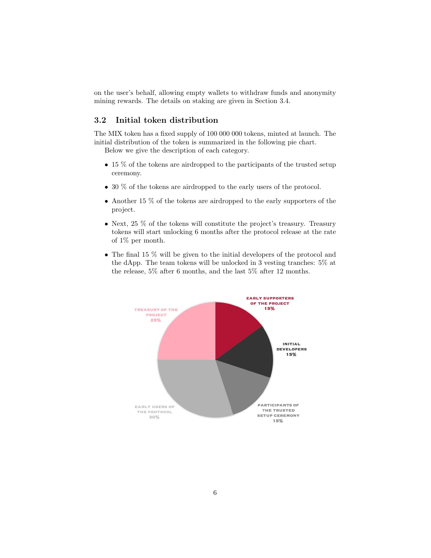on the user's behalf, allowing empty wallets to withdraw funds and anonymity mining rewards. The details on staking are given in Section 3.4.

## 3.2 Initial token distribution

The MIX token has a fixed supply of 100 000 000 tokens, minted at launch. The initial distribution of the token is summarized in the following pie chart.

Below we give the description of each category.

- 15 % of the tokens are airdropped to the participants of the trusted setup ceremony.
- 30 % of the tokens are airdropped to the early users of the protocol.
- Another 15 % of the tokens are airdropped to the early supporters of the project.
- Next,  $25\%$  of the tokens will constitute the project's treasury. Treasury tokens will start unlocking 6 months after the protocol release at the rate of 1% per month.
- The final 15 % will be given to the initial developers of the protocol and the dApp. The team tokens will be unlocked in 3 vesting tranches: 5% at the release, 5% after 6 months, and the last 5% after 12 months.

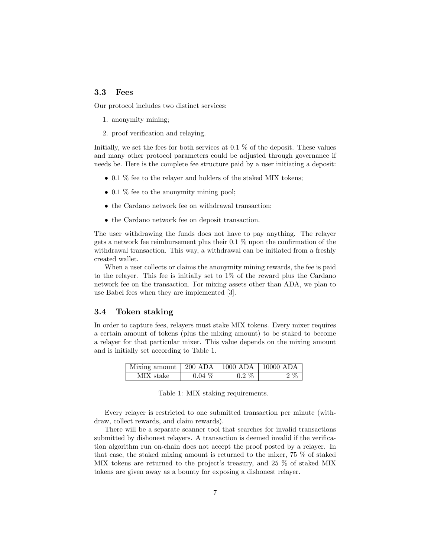## 3.3 Fees

Our protocol includes two distinct services:

- 1. anonymity mining;
- 2. proof verification and relaying.

Initially, we set the fees for both services at 0.1 % of the deposit. These values and many other protocol parameters could be adjusted through governance if needs be. Here is the complete fee structure paid by a user initiating a deposit:

- 0.1 % fee to the relayer and holders of the staked MIX tokens;
- 0.1 % fee to the anonymity mining pool;
- the Cardano network fee on withdrawal transaction;
- the Cardano network fee on deposit transaction.

The user withdrawing the funds does not have to pay anything. The relayer gets a network fee reimbursement plus their 0.1 % upon the confirmation of the withdrawal transaction. This way, a withdrawal can be initiated from a freshly created wallet.

When a user collects or claims the anonymity mining rewards, the fee is paid to the relayer. This fee is initially set to 1% of the reward plus the Cardano network fee on the transaction. For mixing assets other than ADA, we plan to use Babel fees when they are implemented [3].

#### 3.4 Token staking

In order to capture fees, relayers must stake MIX tokens. Every mixer requires a certain amount of tokens (plus the mixing amount) to be staked to become a relayer for that particular mixer. This value depends on the mixing amount and is initially set according to Table 1.

| Mixing amount   200 ADA   1000 ADA   10000 ADA |          |         |        |
|------------------------------------------------|----------|---------|--------|
| MIX stake                                      | $0.04\%$ | $0.2\%$ | $2~\%$ |

Table 1: MIX staking requirements.

Every relayer is restricted to one submitted transaction per minute (withdraw, collect rewards, and claim rewards).

There will be a separate scanner tool that searches for invalid transactions submitted by dishonest relayers. A transaction is deemed invalid if the verification algorithm run on-chain does not accept the proof posted by a relayer. In that case, the staked mixing amount is returned to the mixer, 75 % of staked MIX tokens are returned to the project's treasury, and 25 % of staked MIX tokens are given away as a bounty for exposing a dishonest relayer.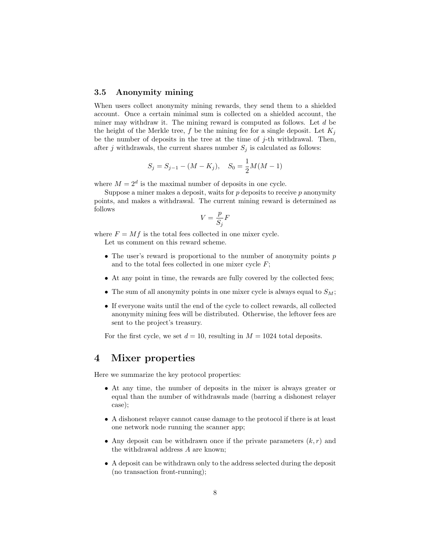#### 3.5 Anonymity mining

When users collect anonymity mining rewards, they send them to a shielded account. Once a certain minimal sum is collected on a shielded account, the miner may withdraw it. The mining reward is computed as follows. Let  $d$  be the height of the Merkle tree, f be the mining fee for a single deposit. Let  $K_i$ be the number of deposits in the tree at the time of  $j$ -th withdrawal. Then, after j withdrawals, the current shares number  $S_j$  is calculated as follows:

$$
S_j = S_{j-1} - (M - K_j), \quad S_0 = \frac{1}{2}M(M - 1)
$$

where  $M = 2^d$  is the maximal number of deposits in one cycle.

Suppose a miner makes a deposit, waits for  $p$  deposits to receive  $p$  anonymity points, and makes a withdrawal. The current mining reward is determined as follows

$$
V = \frac{p}{S_j}F
$$

where  $F = Mf$  is the total fees collected in one mixer cycle.

Let us comment on this reward scheme.

- The user's reward is proportional to the number of anonymity points  $p$ and to the total fees collected in one mixer cycle  $F$ ;
- At any point in time, the rewards are fully covered by the collected fees;
- The sum of all anonymity points in one mixer cycle is always equal to  $S_M$ ;
- If everyone waits until the end of the cycle to collect rewards, all collected anonymity mining fees will be distributed. Otherwise, the leftover fees are sent to the project's treasury.

For the first cycle, we set  $d = 10$ , resulting in  $M = 1024$  total deposits.

## 4 Mixer properties

Here we summarize the key protocol properties:

- At any time, the number of deposits in the mixer is always greater or equal than the number of withdrawals made (barring a dishonest relayer case);
- A dishonest relayer cannot cause damage to the protocol if there is at least one network node running the scanner app;
- Any deposit can be withdrawn once if the private parameters  $(k, r)$  and the withdrawal address A are known;
- A deposit can be withdrawn only to the address selected during the deposit (no transaction front-running);